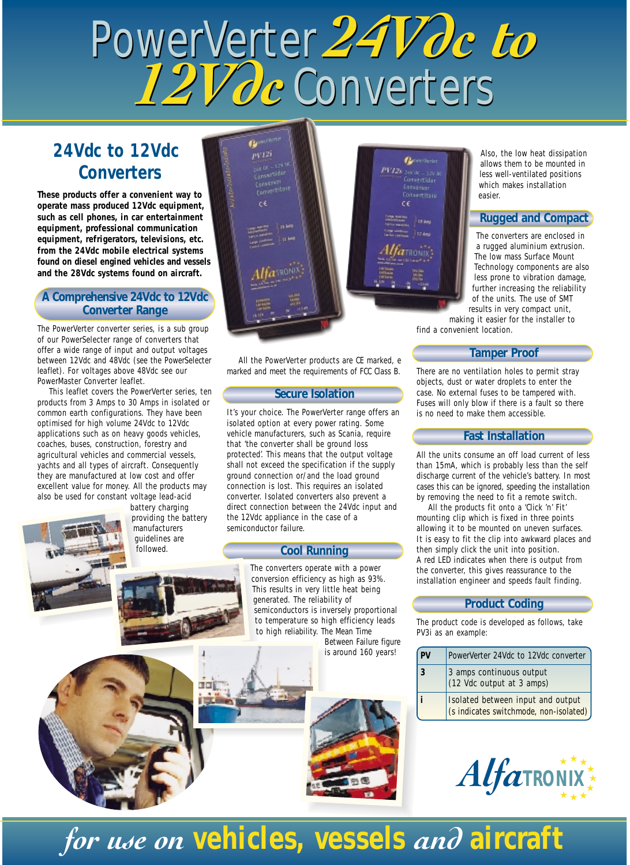# PowerVerter *24Vdc to* PowerVerter *24Vdc to 12Vdc* Converters *12Vdc* Converters

### **24Vdc to 12Vdc Converters**

**These products offer a convenient way to operate mass produced 12Vdc equipment, such as cell phones, in car entertainment equipment, professional communication equipment, refrigerators, televisions, etc. from the 24Vdc mobile electrical systems found on diesel engined vehicles and vessels and the 28Vdc systems found on aircraft.**

#### **A Comprehensive 24Vdc to 12Vdc Converter Range**

The PowerVerter converter series, is a sub group of our PowerSelecter range of converters that offer a wide range of input and output voltages between 12Vdc and 48Vdc (*see the PowerSelecter leaflet*). For voltages above 48Vdc see our PowerMaster Converter leaflet.

This leaflet covers the PowerVerter series, ten products from 3 Amps to 30 Amps in isolated or common earth configurations. They have been optimised for high volume 24Vdc to 12Vdc applications such as on heavy goods vehicles, coaches, buses, construction, forestry and agricultural vehicles and commercial vessels, yachts and all types of aircraft. Consequently they are manufactured at low cost and offer excellent value for money. All the products may also be used for constant voltage lead-acid

battery charging providing the battery **manufacturers** guidelines are followed.

 $pV12i$ Conveniri<br>Comvertitore c4.

**Gymnes** 

All the PowerVerter products are CE marked, e marked and meet the requirements of FCC Class B.

#### **Secure Isolation**

It's your choice. The PowerVerter range offers an isolated option at every power rating. Some vehicle manufacturers, such as Scania, require that 'the converter shall be ground loss protected'. This means that the output voltage shall not exceed the specification if the supply ground connection or/and the load ground connection is lost. This requires an isolated converter. Isolated converters also prevent a direct connection between the 24Vdc input and the 12Vdc appliance in the case of a semiconductor failure.

#### **Cool Running**

The converters operate with a power conversion efficiency as high as 93%. This results in very little heat being generated. The reliability of semiconductors is inversely proportional to temperature so high efficiency leads to high reliability. The Mean Time

Between Failure figure is around 160 years!



#### **Rugged and Compact**

The converters are enclosed in a rugged aluminium extrusion. The low mass Surface Mount Technology components are also less prone to vibration damage, further increasing the reliability of the units. The use of SMT results in very compact unit,

making it easier for the installer to find a convenient location.

**Contractor** 

ансас – 12V.<br>Солнет Чаг

**Distance** 

PP12

#### **Tamper Proof**

There are no ventilation holes to permit stray objects, dust or water droplets to enter the case. No external fuses to be tampered with. Fuses will only blow if there is a fault so there is no need to make them accessible.

#### **Fast Installation**

All the units consume an off load current of less than 15mA, which is probably less than the self discharge current of the vehicle's battery. In most cases this can be ignored, speeding the installation by removing the need to fit a remote switch.

All the products fit onto a 'Click 'n' Fit' mounting clip which is fixed in three points allowing it to be mounted on uneven surfaces. It is easy to fit the clip into awkward places and then simply click the unit into position. A red LED indicates when there is output from the converter, this gives reassurance to the installation engineer and speeds fault finding.

#### **Product Coding**

The product code is developed as follows, take PV3i as an example:

| PV | PowerVerter 24Vdc to 12Vdc converter                                        |
|----|-----------------------------------------------------------------------------|
| 3  | 3 amps continuous output<br>(12 Vdc output at 3 amps)                       |
|    | Isolated between input and output<br>(s indicates switchmode, non-isolated) |



## *for use on* **vehicles, vessels** *and* **aircraft**